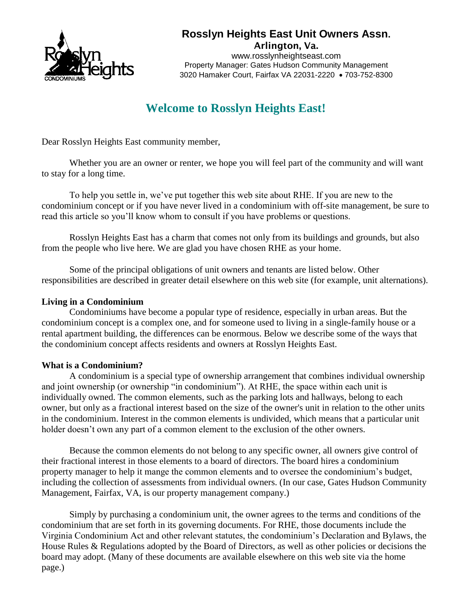

# **Rosslyn Heights East Unit Owners Assn.**

Arlington, Va. www.rosslynheightseast.com Property Manager: Gates Hudson Community Management 3020 Hamaker Court, Fairfax VA 22031-2220 • 703-752-8300

# **Welcome to Rosslyn Heights East!**

Dear Rosslyn Heights East community member,

Whether you are an owner or renter, we hope you will feel part of the community and will want to stay for a long time.

To help you settle in, we've put together this web site about RHE. If you are new to the condominium concept or if you have never lived in a condominium with off-site management, be sure to read this article so you'll know whom to consult if you have problems or questions.

Rosslyn Heights East has a charm that comes not only from its buildings and grounds, but also from the people who live here. We are glad you have chosen RHE as your home.

Some of the principal obligations of unit owners and tenants are listed below. Other responsibilities are described in greater detail elsewhere on this web site (for example, unit alternations).

## **Living in a Condominium**

Condominiums have become a popular type of residence, especially in urban areas. But the condominium concept is a complex one, and for someone used to living in a single-family house or a rental apartment building, the differences can be enormous. Below we describe some of the ways that the condominium concept affects residents and owners at Rosslyn Heights East.

# **What is a Condominium?**

A condominium is a special type of ownership arrangement that combines individual ownership and joint ownership (or ownership "in condominium"). At RHE, the space within each unit is individually owned. The common elements, such as the parking lots and hallways, belong to each owner, but only as a fractional interest based on the size of the owner's unit in relation to the other units in the condominium. Interest in the common elements is undivided, which means that a particular unit holder doesn't own any part of a common element to the exclusion of the other owners.

Because the common elements do not belong to any specific owner, all owners give control of their fractional interest in those elements to a board of directors. The board hires a condominium property manager to help it mange the common elements and to oversee the condominium's budget, including the collection of assessments from individual owners. (In our case, Gates Hudson Community Management, Fairfax, VA, is our property management company.)

Simply by purchasing a condominium unit, the owner agrees to the terms and conditions of the condominium that are set forth in its governing documents. For RHE, those documents include the Virginia Condominium Act and other relevant statutes, the condominium's Declaration and Bylaws, the House Rules & Regulations adopted by the Board of Directors, as well as other policies or decisions the board may adopt. (Many of these documents are available elsewhere on this web site via the home page.)